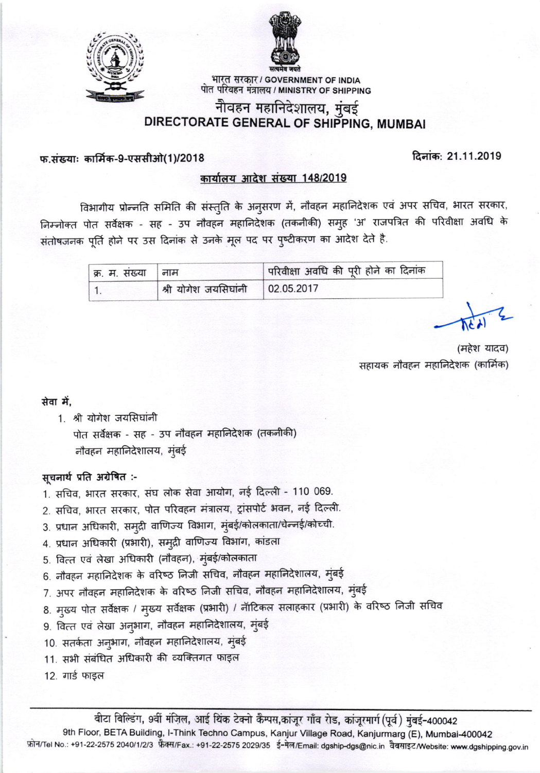



भारत सरकार / GOVERNMENT OF INDIA पोत परिवहन मंत्रालय / MINISTRY OF SHIPPING

# नौवहन महानिदेशालय, मुंबई DIRECTORATE GENERAL OF SHIPPING, MUMBAI

### फ.संख्याः कार्मिक-9-एससीओ(1)/2018

दिनांक: 21.11.2019

#### कार्यालय आदेश संख्या 148/2019

विभागीय प्रोन्नति समिति की संस्तुति के अनुसरण में, नौवहन महानिदेशक एवं अपर सचिव, भारत सरकार, निम्नोक्त पोत सर्वेक्षक - सह - उप नौवहन महानिदेशक (तकनीकी) समुह 'अ' राजपत्रित की परिवीक्षा अवधि के संतोषजनक पूर्ति होने पर उस दिनांक से उनके मूल पद पर पुष्टीकरण का आदेश देते है.

| क्र. म. संख्या   नाम |                                    | परिवीक्षा अवधि की पूरी होने का दिनांक |  |
|----------------------|------------------------------------|---------------------------------------|--|
|                      | श्री योगेश जयसिंघांनी   02.05.2017 |                                       |  |

(महेश यादव) सहायक नौवहन महानिदेशक (कार्मिक)

#### सेवा में.

1. श्री योगेश जयसिंघांनी

पोत सर्वेक्षक - सह - उप नौवहन महानिदेशक (तकनीकी) नौवहन महानिदेशालय, मुंबई

# सूचनार्थ प्रति अग्रेषित :-

- 1. सचिव, भारत सरकार, संघ लोक सेवा आयोग, नई दिल्ली 110 069.
- 2. सचिव, भारत सरकार, पोत परिवहन मंत्रालय, ट्रांसपोर्ट भवन, नई दिल्ली.
- 3. प्रधान अधिकारी, समुद्री वाणिज्य विभाग, मुंबई/कोलकाता/चेन्नई/कोच्ची.
- 4. प्रधान अधिकारी (प्रभारी), समुद्री वाणिज्य विभांग, कांडला
- 5. वित्त एवं लेखा अधिकारी (नौवहन), मुंबई/कोलकाता
- 6. नौवहन महानिदेशक के वरिष्ठ निजी सचिव, नौवहन महानिदेशालय, मुंबई
- 7. अपर नौवहन महानिदेशक के वरिष्ठ निजी सचिव, नौवहन महानिदेशालय, मुंबई
- 8. मुख्य पोत सर्वेक्षक / मुख्य सर्वेक्षक (प्रभारी) / नॉटिकल सलाहकार (प्रभारी) के वरिष्ठ निजी सचिव
- 9. वित्त एवं लेखा अनुभाग, नौवहन महानिदेशालय, मुंबई
- 10. सतर्कता अनुभाग, नौवहन महानिदेशालय, मुंबई
- 11. सभी संबंधित अधिकारी की व्यक्तिगत फाइल
- 12. गार्ड फाइल

बीटा बिल्डिंग, 9वीं मंज़िल, आई थिंक टेक्नो कैम्पस,कांजूर गाँव रोड, कांजूरमार्ग (पूर्व) मुंबई-400042 9th Floor, BETA Building, I-Think Techno Campus, Kanjur Village Road, Kanjurmarg (E), Mumbai-400042 फ़ोन/Tel No.: +91-22-2575 2040/1/2/3 फ़ैक्स/Fax.: +91-22-2575 2029/35 ई-मेल/Email: dgship-dgs@nic.in वैबसाइट/Website: www.dgshipping.gov.in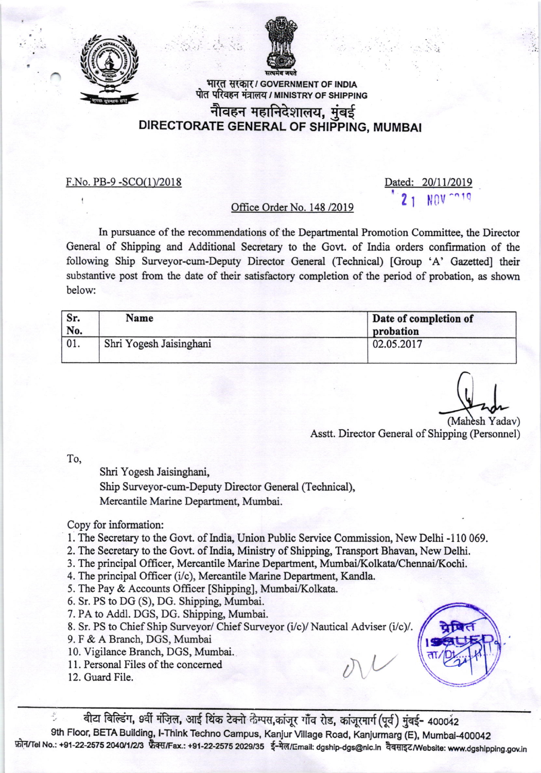



भारत सरकार/ GOVERNMENT OF INDIA पोत परिवहन मंत्रालय / MINISTRY OF SHIPPING

# नौवहन महानिदेशालय, मुंबई DIRECTORATE GENERAL OF SHIPPING, MUMBA!

F.No. PB-9 -SCO(l)/2018

Dated: 20/11/2019

# Office Order No. 148 / 2019

In pursuance of the recommendations of the Departrnental Promotion Committee, the Director General of Shipping and Additional Secretary to the Govt. of India orders confirmation of the following Ship Surveyor-cum-Deputy Director General (Technical) [Group 'A' Gazetted] their substantive post from the date of their satisfactory completion of the period of probation, as shown below:

| Sr.<br>No. | Name                    | Date of completion of<br>probation |
|------------|-------------------------|------------------------------------|
|            | Shri Yogesh Jaisinghani | 02.05.2017                         |

(Mahesh Yadav)

Asstt. Director General of Shipping (Personnel)

 $\mathcal{V}$ 

To,

Shri Yogesh Jaisingheni,

Ship Surveyor-cum-Deputy Director General (Technical), Mercantile Marine Department, Mumbai.

### Copy for information:

- 1. The Secretary to the Govt. of India, Union Public Service Commission, New Delhi -110 069.
- 2. The Secretary to the Govt. of India, Ministry of Shipping, Transport Bhavan, New Delhi.
- 3. The principal Officer, Mercantile Marine Department, Mumbai/Kolkata/Chennai/Kochi.
- 4. The principal Officer (i/c), Mercantile Marine Department, Kandla.
- 5. The Pay & Accounts Officer [Shipping], Mumbai/Kolkata.
- 6. Sr. PS to DG (S), DG. Shipping, Mumbai.
- 7. PA to Addl. DGS, DG. Shipping, Mumbai.
- 8. Sr. PS to Chief Ship Surveyor/ Chief Surveyor (i/c)/ Nautical Adviser (i/c)/.
- 9. F & A Branch, DGS, Mumbai
- 10. Vigilance Branch, DGS, Mumbai.
- <sup>1</sup>L Personal Files of the concemed
- 12. Guard File.

बीटा बिल्डिंग, 9वीं मंज़िल, आई थिंक टेक्नो कैम्पस,कांजूर गाँव रोड, कांजूरमार्ग (पूर्व) मुंबई- 400042 9th Floor, BETA Building, I-Think Techno Campus, Kanjur Village Road, Kanjurmarg (E), Mumbai-400042 फ़ोन/Tel No.: +91-22-2575 2040/1/2/3 फ़ैक्स/Fax.: +91-22-2575 2029/35 ई-मेल/Email: dgship-dgs@nic.in वैबसाइट/Website: www.dgshipping.gov.in